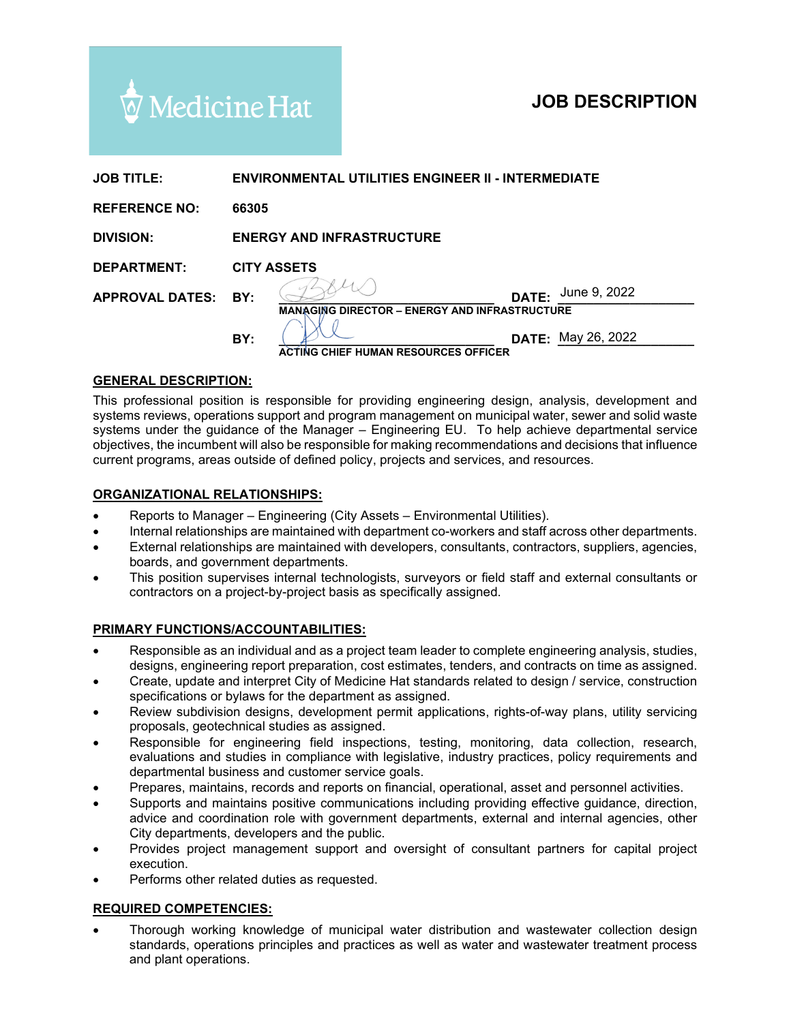# Medicine Hat

# **JOB DESCRIPTION**

| <b>JOB TITLE:</b>      | <b>ENVIRONMENTAL UTILITIES ENGINEER II - INTERMEDIATE</b> |                                    |  |                           |
|------------------------|-----------------------------------------------------------|------------------------------------|--|---------------------------|
| <b>REFERENCE NO:</b>   | 66305                                                     |                                    |  |                           |
| <b>DIVISION:</b>       | <b>ENERGY AND INFRASTRUCTURE</b>                          |                                    |  |                           |
| <b>DEPARTMENT:</b>     | <b>CITY ASSETS</b>                                        |                                    |  |                           |
| <b>APPROVAL DATES:</b> | BY:                                                       |                                    |  | <b>DATE:</b> June 9, 2022 |
|                        | <b>MANAGING DIRECTOR - ENERGY AND INFRASTRUCTURE</b>      |                                    |  |                           |
|                        | BY:                                                       |                                    |  | <b>DATE:</b> May 26, 2022 |
|                        |                                                           | 'ING CHIEF HUMAN RESOURCES OFFICER |  |                           |

#### **GENERAL DESCRIPTION:**

This professional position is responsible for providing engineering design, analysis, development and systems reviews, operations support and program management on municipal water, sewer and solid waste systems under the guidance of the Manager – Engineering EU. To help achieve departmental service objectives, the incumbent will also be responsible for making recommendations and decisions that influence current programs, areas outside of defined policy, projects and services, and resources.

#### **ORGANIZATIONAL RELATIONSHIPS:**

- Reports to Manager Engineering (City Assets Environmental Utilities).
- Internal relationships are maintained with department co-workers and staff across other departments.
- External relationships are maintained with developers, consultants, contractors, suppliers, agencies, boards, and government departments.
- This position supervises internal technologists, surveyors or field staff and external consultants or contractors on a project-by-project basis as specifically assigned.

#### **PRIMARY FUNCTIONS/ACCOUNTABILITIES:**

- Responsible as an individual and as a project team leader to complete engineering analysis, studies, designs, engineering report preparation, cost estimates, tenders, and contracts on time as assigned.
- Create, update and interpret City of Medicine Hat standards related to design / service, construction specifications or bylaws for the department as assigned.
- Review subdivision designs, development permit applications, rights-of-way plans, utility servicing proposals, geotechnical studies as assigned.
- Responsible for engineering field inspections, testing, monitoring, data collection, research, evaluations and studies in compliance with legislative, industry practices, policy requirements and departmental business and customer service goals.
- Prepares, maintains, records and reports on financial, operational, asset and personnel activities.
- Supports and maintains positive communications including providing effective guidance, direction, advice and coordination role with government departments, external and internal agencies, other City departments, developers and the public.
- Provides project management support and oversight of consultant partners for capital project execution.
- Performs other related duties as requested.

### **REQUIRED COMPETENCIES:**

• Thorough working knowledge of municipal water distribution and wastewater collection design standards, operations principles and practices as well as water and wastewater treatment process and plant operations.